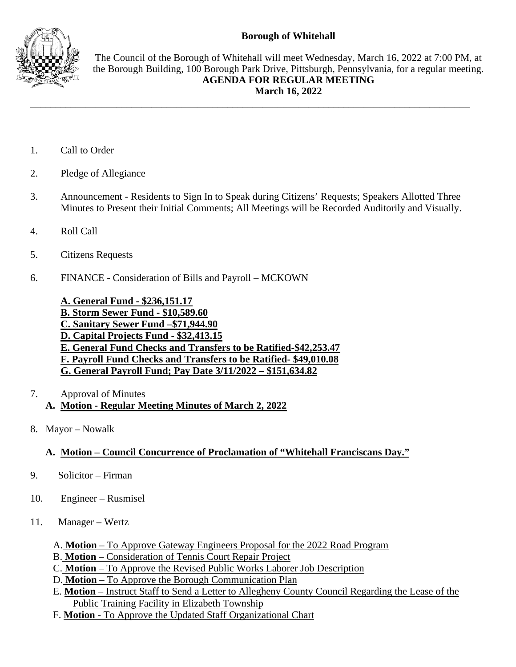## **Borough of Whitehall**



The Council of the Borough of Whitehall will meet Wednesday, March 16, 2022 at 7:00 PM, at the Borough Building, 100 Borough Park Drive, Pittsburgh, Pennsylvania, for a regular meeting. **AGENDA FOR REGULAR MEETING March 16, 2022**

- 1. Call to Order
- 2. Pledge of Allegiance
- 3. Announcement Residents to Sign In to Speak during Citizens' Requests; Speakers Allotted Three Minutes to Present their Initial Comments; All Meetings will be Recorded Auditorily and Visually.

\_\_\_\_\_\_\_\_\_\_\_\_\_\_\_\_\_\_\_\_\_\_\_\_\_\_\_\_\_\_\_\_\_\_\_\_\_\_\_\_\_\_\_\_\_\_\_\_\_\_\_\_\_\_\_\_\_\_\_\_\_\_\_\_\_\_\_\_\_\_\_\_\_\_\_\_\_\_\_\_\_\_\_\_\_\_\_

- 4. Roll Call
- 5. Citizens Requests
- 6. FINANCE Consideration of Bills and Payroll MCKOWN

**A. General Fund - \$236,151.17 B. Storm Sewer Fund - \$10,589.60 C. Sanitary Sewer Fund –\$71,944.90 D. Capital Projects Fund - \$32,413.15 E. General Fund Checks and Transfers to be Ratified-\$42,253.47 F. Payroll Fund Checks and Transfers to be Ratified- \$49,010.08 G. General Payroll Fund; Pay Date 3/11/2022 – \$151,634.82**

- 7. Approval of Minutes
	- **A. Motion - Regular Meeting Minutes of March 2, 2022**
- 8. Mayor Nowalk

## **A. Motion – Council Concurrence of Proclamation of "Whitehall Franciscans Day."**

- 9. Solicitor Firman
- 10. Engineer Rusmisel
- 11. Manager Wertz
	- A. **Motion** To Approve Gateway Engineers Proposal for the 2022 Road Program
	- B. **Motion** Consideration of Tennis Court Repair Project
	- C. **Motion** To Approve the Revised Public Works Laborer Job Description
	- D. **Motion** To Approve the Borough Communication Plan
	- E. **Motion** Instruct Staff to Send a Letter to Allegheny County Council Regarding the Lease of the Public Training Facility in Elizabeth Township
	- F. **Motion** To Approve the Updated Staff Organizational Chart